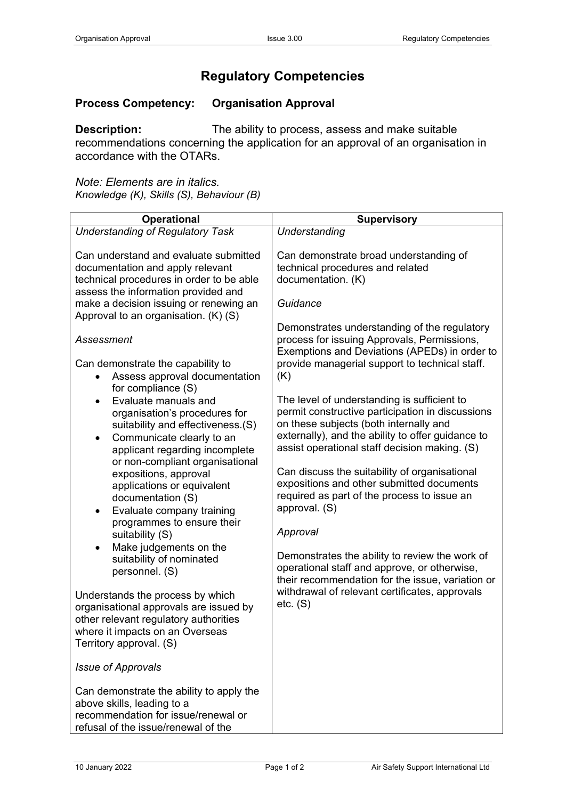## **Regulatory Competencies**

## **Process Competency: Organisation Approval**

**Description:** The ability to process, assess and make suitable recommendations concerning the application for an approval of an organisation in accordance with the OTARs.

*Note: Elements are in italics. Knowledge (K), Skills (S), Behaviour (B)*

| <b>Operational</b>                                                                                                                                                                                                                                                                                                                                                                                                                                                                                       | <b>Supervisory</b>                                                                                                                                                                                                                                                                                                                                                                                                                                                                                                                                                              |
|----------------------------------------------------------------------------------------------------------------------------------------------------------------------------------------------------------------------------------------------------------------------------------------------------------------------------------------------------------------------------------------------------------------------------------------------------------------------------------------------------------|---------------------------------------------------------------------------------------------------------------------------------------------------------------------------------------------------------------------------------------------------------------------------------------------------------------------------------------------------------------------------------------------------------------------------------------------------------------------------------------------------------------------------------------------------------------------------------|
| <b>Understanding of Regulatory Task</b>                                                                                                                                                                                                                                                                                                                                                                                                                                                                  | Understanding                                                                                                                                                                                                                                                                                                                                                                                                                                                                                                                                                                   |
| Can understand and evaluate submitted<br>documentation and apply relevant<br>technical procedures in order to be able<br>assess the information provided and<br>make a decision issuing or renewing an                                                                                                                                                                                                                                                                                                   | Can demonstrate broad understanding of<br>technical procedures and related<br>documentation. (K)<br>Guidance                                                                                                                                                                                                                                                                                                                                                                                                                                                                    |
| Approval to an organisation. (K) (S)                                                                                                                                                                                                                                                                                                                                                                                                                                                                     | Demonstrates understanding of the regulatory                                                                                                                                                                                                                                                                                                                                                                                                                                                                                                                                    |
| Assessment<br>Can demonstrate the capability to<br>Assess approval documentation                                                                                                                                                                                                                                                                                                                                                                                                                         | process for issuing Approvals, Permissions,<br>Exemptions and Deviations (APEDs) in order to<br>provide managerial support to technical staff.<br>(K)                                                                                                                                                                                                                                                                                                                                                                                                                           |
| for compliance (S)<br>Evaluate manuals and<br>$\bullet$<br>organisation's procedures for<br>suitability and effectiveness.(S)<br>Communicate clearly to an<br>$\bullet$<br>applicant regarding incomplete<br>or non-compliant organisational<br>expositions, approval<br>applications or equivalent<br>documentation (S)<br>Evaluate company training<br>$\bullet$<br>programmes to ensure their<br>suitability (S)<br>Make judgements on the<br>$\bullet$<br>suitability of nominated<br>personnel. (S) | The level of understanding is sufficient to<br>permit constructive participation in discussions<br>on these subjects (both internally and<br>externally), and the ability to offer guidance to<br>assist operational staff decision making. (S)<br>Can discuss the suitability of organisational<br>expositions and other submitted documents<br>required as part of the process to issue an<br>approval. (S)<br>Approval<br>Demonstrates the ability to review the work of<br>operational staff and approve, or otherwise,<br>their recommendation for the issue, variation or |
| Understands the process by which<br>organisational approvals are issued by<br>other relevant regulatory authorities<br>where it impacts on an Overseas<br>Territory approval. (S)                                                                                                                                                                                                                                                                                                                        | withdrawal of relevant certificates, approvals<br>etc. (S)                                                                                                                                                                                                                                                                                                                                                                                                                                                                                                                      |
| <b>Issue of Approvals</b>                                                                                                                                                                                                                                                                                                                                                                                                                                                                                |                                                                                                                                                                                                                                                                                                                                                                                                                                                                                                                                                                                 |
| Can demonstrate the ability to apply the<br>above skills, leading to a<br>recommendation for issue/renewal or<br>refusal of the issue/renewal of the                                                                                                                                                                                                                                                                                                                                                     |                                                                                                                                                                                                                                                                                                                                                                                                                                                                                                                                                                                 |